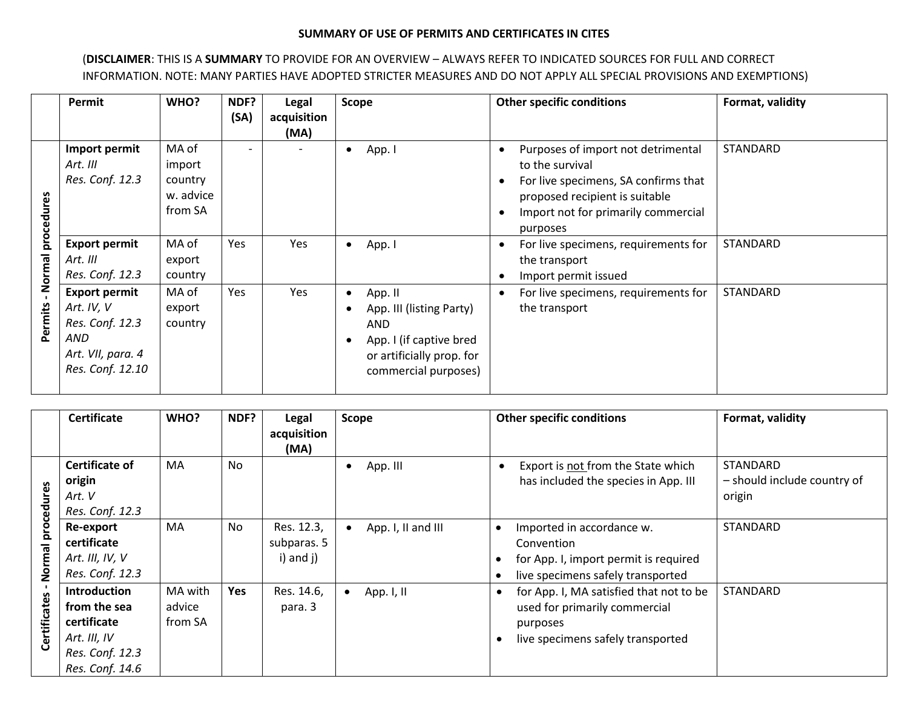## **SUMMARY OF USE OF PERMITS AND CERTIFICATES IN CITES**

## (**DISCLAIMER**: THIS IS A **SUMMARY** TO PROVIDE FOR AN OVERVIEW – ALWAYS REFER TO INDICATED SOURCES FOR FULL AND CORRECT INFORMATION. NOTE: MANY PARTIES HAVE ADOPTED STRICTER MEASURES AND DO NOT APPLY ALL SPECIAL PROVISIONS AND EXEMPTIONS)

|            | Permit                                                                                                | WHO?                                               | NDF?<br>(SA)             | Legal<br>acquisition<br>(MA) | <b>Scope</b>                                                                                                                             | <b>Other specific conditions</b>                                                                                                                                                                             | Format, validity |
|------------|-------------------------------------------------------------------------------------------------------|----------------------------------------------------|--------------------------|------------------------------|------------------------------------------------------------------------------------------------------------------------------------------|--------------------------------------------------------------------------------------------------------------------------------------------------------------------------------------------------------------|------------------|
| procedures | Import permit<br>Art. III<br>Res. Conf. 12.3                                                          | MA of<br>import<br>country<br>w. advice<br>from SA | $\overline{\phantom{0}}$ |                              | App. I<br>$\bullet$                                                                                                                      | Purposes of import not detrimental<br>$\bullet$<br>to the survival<br>For live specimens, SA confirms that<br>$\bullet$<br>proposed recipient is suitable<br>Import not for primarily commercial<br>purposes | <b>STANDARD</b>  |
| Normal     | <b>Export permit</b><br>Art. III<br>Res. Conf. 12.3                                                   | MA of<br>export<br>country                         | <b>Yes</b>               | Yes                          | App. I<br>$\bullet$                                                                                                                      | For live specimens, requirements for<br>$\bullet$<br>the transport<br>Import permit issued<br>$\bullet$                                                                                                      | <b>STANDARD</b>  |
| Permits    | <b>Export permit</b><br>Art. IV, V<br>Res. Conf. 12.3<br>AND<br>Art. VII, para. 4<br>Res. Conf. 12.10 | MA of<br>export<br>country                         | Yes                      | Yes                          | App. II<br>$\bullet$<br>App. III (listing Party)<br>AND.<br>App. I (if captive bred<br>or artificially prop. for<br>commercial purposes) | For live specimens, requirements for<br>$\bullet$<br>the transport                                                                                                                                           | <b>STANDARD</b>  |

|                                          | <b>Certificate</b>                                                                                       | WHO?                         | NDF?      | Legal<br>acquisition                      | Scope              | <b>Other specific conditions</b>                                                                                                       | Format, validity                                  |
|------------------------------------------|----------------------------------------------------------------------------------------------------------|------------------------------|-----------|-------------------------------------------|--------------------|----------------------------------------------------------------------------------------------------------------------------------------|---------------------------------------------------|
| හි<br>ತಾ                                 | Certificate of<br>origin<br>Art. V<br>Res. Conf. 12.3                                                    | <b>MA</b>                    | <b>No</b> | (MA)                                      | App. III           | Export is not from the State which<br>has included the species in App. III                                                             | STANDARD<br>- should include country of<br>origin |
| ၑ<br>mal pr<br>ō<br>Z<br>S<br>Certificat | Re-export<br>certificate<br>Art. III, IV, V<br>Res. Conf. 12.3                                           | MA                           | No        | Res. 12.3,<br>subparas. 5<br>i) and $j$ ) | App. I, II and III | Imported in accordance w.<br>Convention<br>for App. I, import permit is required<br>live specimens safely transported                  | STANDARD                                          |
|                                          | <b>Introduction</b><br>from the sea<br>certificate<br>Art. III, IV<br>Res. Conf. 12.3<br>Res. Conf. 14.6 | MA with<br>advice<br>from SA | Yes       | Res. 14.6,<br>para. 3                     | App. I, II         | for App. I, MA satisfied that not to be<br>$\bullet$<br>used for primarily commercial<br>purposes<br>live specimens safely transported | STANDARD                                          |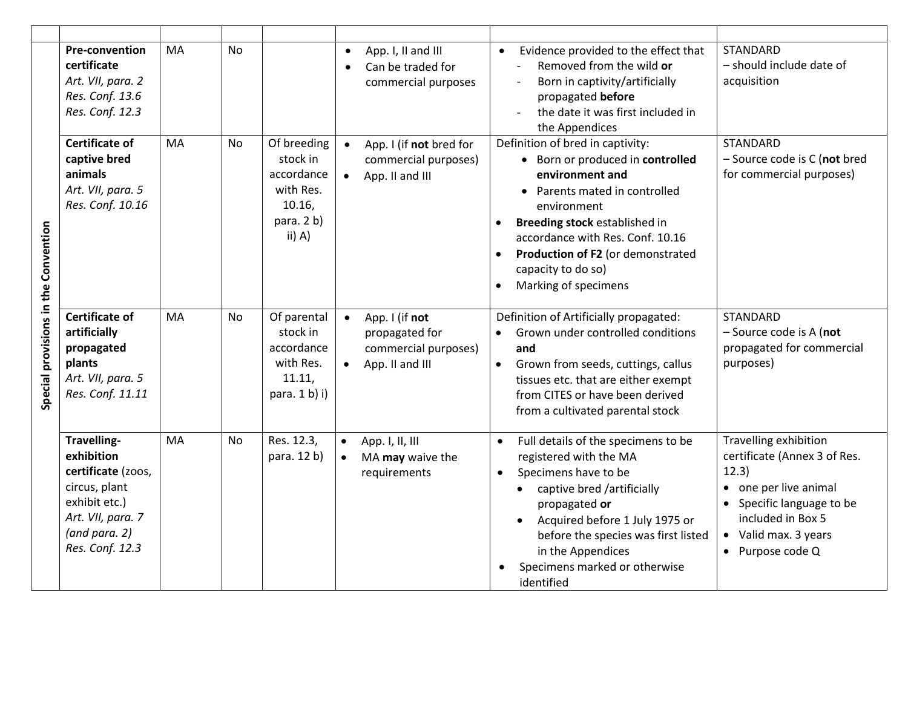| Special provisions in the Convention | <b>Pre-convention</b><br>certificate<br>Art. VII, para. 2<br>Res. Conf. 13.6<br>Res. Conf. 12.3                                            | <b>MA</b> | <b>No</b> |                                                                                         | $\bullet$<br>$\bullet$ | App. I, II and III<br>Can be traded for<br>commercial purposes              | Evidence provided to the effect that<br>STANDARD<br>Removed from the wild or<br>- should include date of<br>acquisition<br>Born in captivity/artificially<br>propagated before<br>the date it was first included in<br>the Appendices                                                                                                                                                                                                                                                                             |
|--------------------------------------|--------------------------------------------------------------------------------------------------------------------------------------------|-----------|-----------|-----------------------------------------------------------------------------------------|------------------------|-----------------------------------------------------------------------------|-------------------------------------------------------------------------------------------------------------------------------------------------------------------------------------------------------------------------------------------------------------------------------------------------------------------------------------------------------------------------------------------------------------------------------------------------------------------------------------------------------------------|
|                                      | <b>Certificate of</b><br>captive bred<br>animals<br>Art. VII, para. 5<br>Res. Conf. 10.16                                                  | <b>MA</b> | No.       | Of breeding<br>stock in<br>accordance<br>with Res.<br>10.16,<br>para. 2 b)<br>ii) $A$ ) | $\bullet$<br>$\bullet$ | App. I (if not bred for<br>commercial purposes)<br>App. II and III          | Definition of bred in captivity:<br><b>STANDARD</b><br>- Source code is C (not bred<br>• Born or produced in controlled<br>for commercial purposes)<br>environment and<br>• Parents mated in controlled<br>environment<br>Breeding stock established in<br>$\bullet$<br>accordance with Res. Conf. 10.16<br>Production of F2 (or demonstrated<br>$\bullet$<br>capacity to do so)<br>Marking of specimens<br>$\bullet$                                                                                             |
|                                      | <b>Certificate of</b><br>artificially<br>propagated<br>plants<br>Art. VII, para. 5<br>Res. Conf. 11.11                                     | <b>MA</b> | No        | Of parental<br>stock in<br>accordance<br>with Res.<br>11.11,<br>para. 1 b) i)           | $\bullet$<br>$\bullet$ | App. I (if not<br>propagated for<br>commercial purposes)<br>App. II and III | Definition of Artificially propagated:<br><b>STANDARD</b><br>Grown under controlled conditions<br>$-$ Source code is A (not<br>$\bullet$<br>propagated for commercial<br>and<br>purposes)<br>Grown from seeds, cuttings, callus<br>$\bullet$<br>tissues etc. that are either exempt<br>from CITES or have been derived<br>from a cultivated parental stock                                                                                                                                                        |
|                                      | Travelling-<br>exhibition<br>certificate (zoos,<br>circus, plant<br>exhibit etc.)<br>Art. VII, para. 7<br>(and para. 2)<br>Res. Conf. 12.3 | <b>MA</b> | <b>No</b> | Res. 12.3,<br>para. 12 b)                                                               | $\bullet$<br>$\bullet$ | App. I, II, III<br>MA may waive the<br>requirements                         | Travelling exhibition<br>Full details of the specimens to be<br>$\bullet$<br>certificate (Annex 3 of Res.<br>registered with the MA<br>12.3)<br>Specimens have to be<br>$\bullet$<br>• one per live animal<br>captive bred /artificially<br>$\bullet$<br>• Specific language to be<br>propagated or<br>included in Box 5<br>Acquired before 1 July 1975 or<br>• Valid max. 3 years<br>before the species was first listed<br>in the Appendices<br>• Purpose code Q<br>Specimens marked or otherwise<br>identified |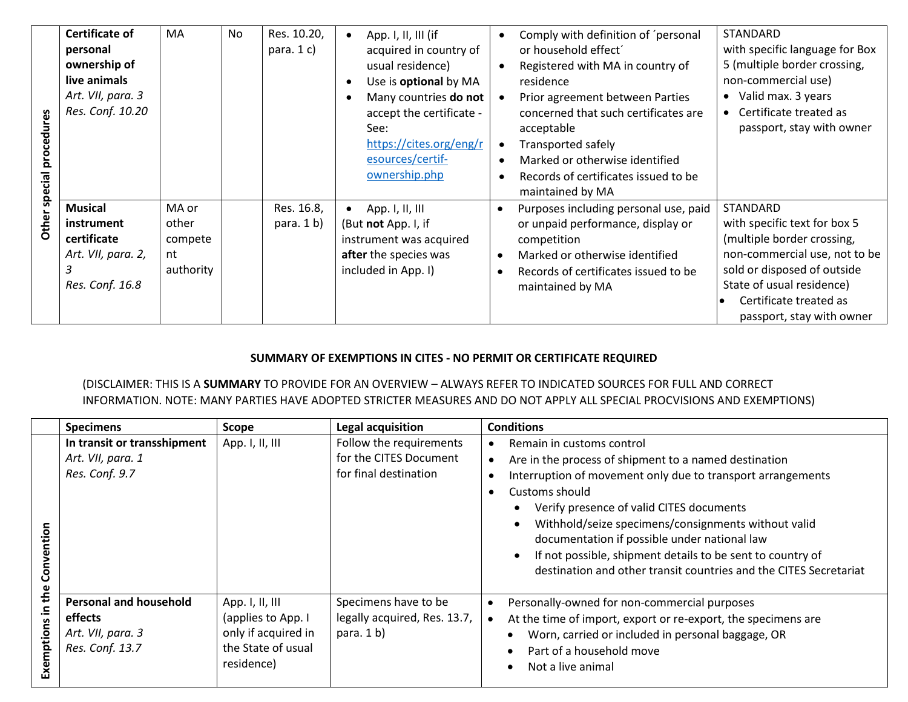| cedures<br>oro<br>special | <b>Certificate of</b><br>personal<br>ownership of<br>live animals<br>Art. VII, para. 3<br>Res. Conf. 10.20 | MA                                           | No. | Res. 10.20,<br>para. $1 c)$ | App. I, II, III (if<br>acquired in country of<br>usual residence)<br>Use is <b>optional</b> by MA<br>Many countries do not<br>accept the certificate -<br>See:<br>https://cites.org/eng/r<br>esources/certif-<br>ownership.php | Comply with definition of 'personal<br>or household effect'<br>Registered with MA in country of<br>residence<br>Prior agreement between Parties<br>concerned that such certificates are<br>acceptable<br><b>Transported safely</b><br>Marked or otherwise identified<br>Records of certificates issued to be<br>maintained by MA | <b>STANDARD</b><br>with specific language for Box<br>5 (multiple border crossing,<br>non-commercial use)<br>• Valid max. 3 years<br>Certificate treated as<br>$\bullet$<br>passport, stay with owner                       |
|---------------------------|------------------------------------------------------------------------------------------------------------|----------------------------------------------|-----|-----------------------------|--------------------------------------------------------------------------------------------------------------------------------------------------------------------------------------------------------------------------------|----------------------------------------------------------------------------------------------------------------------------------------------------------------------------------------------------------------------------------------------------------------------------------------------------------------------------------|----------------------------------------------------------------------------------------------------------------------------------------------------------------------------------------------------------------------------|
| Other                     | <b>Musical</b><br><i>instrument</i><br>certificate<br>Art. VII, para. 2,<br>Res. Conf. 16.8                | MA or<br>other<br>compete<br>nt<br>authority |     | Res. 16.8,<br>para. $1 b)$  | App. I, II, III<br>$\bullet$<br>(But not App. I, if<br>instrument was acquired<br>after the species was<br>included in App. I)                                                                                                 | Purposes including personal use, paid<br>or unpaid performance, display or<br>competition<br>Marked or otherwise identified<br>Records of certificates issued to be<br>maintained by MA                                                                                                                                          | STANDARD<br>with specific text for box 5<br>(multiple border crossing,<br>non-commercial use, not to be<br>sold or disposed of outside<br>State of usual residence)<br>Certificate treated as<br>passport, stay with owner |

## **SUMMARY OF EXEMPTIONS IN CITES - NO PERMIT OR CERTIFICATE REQUIRED**

## (DISCLAIMER: THIS IS A **SUMMARY** TO PROVIDE FOR AN OVERVIEW – ALWAYS REFER TO INDICATED SOURCES FOR FULL AND CORRECT INFORMATION. NOTE: MANY PARTIES HAVE ADOPTED STRICTER MEASURES AND DO NOT APPLY ALL SPECIAL PROCVISIONS AND EXEMPTIONS)

|      | <b>Specimens</b>              | Legal acquisition<br>Scope |                                                   | <b>Conditions</b>                                                 |  |  |
|------|-------------------------------|----------------------------|---------------------------------------------------|-------------------------------------------------------------------|--|--|
|      | In transit or transshipment   | App. I, II, III            | Follow the requirements<br>for the CITES Document | Remain in customs control                                         |  |  |
|      | Art. VII, para. 1             |                            |                                                   | Are in the process of shipment to a named destination             |  |  |
|      | Res. Conf. 9.7                |                            | for final destination                             | Interruption of movement only due to transport arrangements       |  |  |
|      |                               |                            |                                                   | Customs should                                                    |  |  |
|      |                               |                            |                                                   | Verify presence of valid CITES documents                          |  |  |
|      |                               |                            |                                                   | Withhold/seize specimens/consignments without valid               |  |  |
|      |                               |                            |                                                   | documentation if possible under national law                      |  |  |
|      |                               |                            |                                                   | If not possible, shipment details to be sent to country of        |  |  |
|      |                               |                            |                                                   | destination and other transit countries and the CITES Secretariat |  |  |
| 호    |                               |                            |                                                   |                                                                   |  |  |
|      | <b>Personal and household</b> | App. I, II, III            | Specimens have to be                              | Personally-owned for non-commercial purposes                      |  |  |
| w    | effects                       | (applies to App. I         | legally acquired, Res. 13.7,                      | At the time of import, export or re-export, the specimens are     |  |  |
| o    | Art. VII, para. 3             | only if acquired in        | para. $1 b)$                                      | Worn, carried or included in personal baggage, OR                 |  |  |
| npti | Res. Conf. 13.7               | the State of usual         |                                                   | Part of a household move                                          |  |  |
|      |                               | residence)                 |                                                   | Not a live animal                                                 |  |  |
|      |                               |                            |                                                   |                                                                   |  |  |